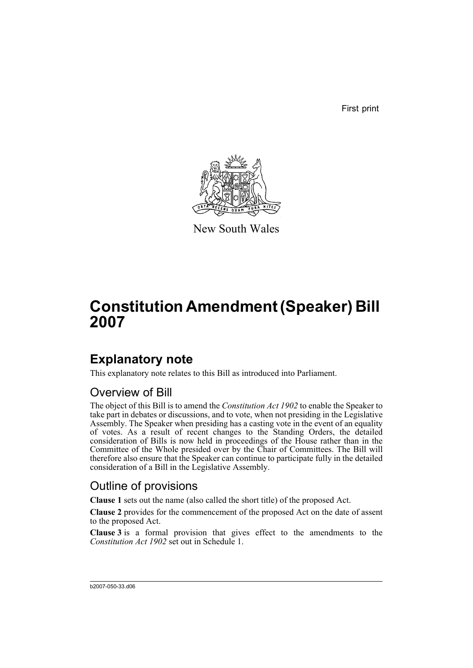First print



New South Wales

# **Constitution Amendment (Speaker) Bill 2007**

### **Explanatory note**

This explanatory note relates to this Bill as introduced into Parliament.

### Overview of Bill

The object of this Bill is to amend the *Constitution Act 1902* to enable the Speaker to take part in debates or discussions, and to vote, when not presiding in the Legislative Assembly. The Speaker when presiding has a casting vote in the event of an equality of votes. As a result of recent changes to the Standing Orders, the detailed consideration of Bills is now held in proceedings of the House rather than in the Committee of the Whole presided over by the Chair of Committees. The Bill will therefore also ensure that the Speaker can continue to participate fully in the detailed consideration of a Bill in the Legislative Assembly.

### Outline of provisions

**Clause 1** sets out the name (also called the short title) of the proposed Act.

**Clause 2** provides for the commencement of the proposed Act on the date of assent to the proposed Act.

**Clause 3** is a formal provision that gives effect to the amendments to the *Constitution Act 1902* set out in Schedule 1.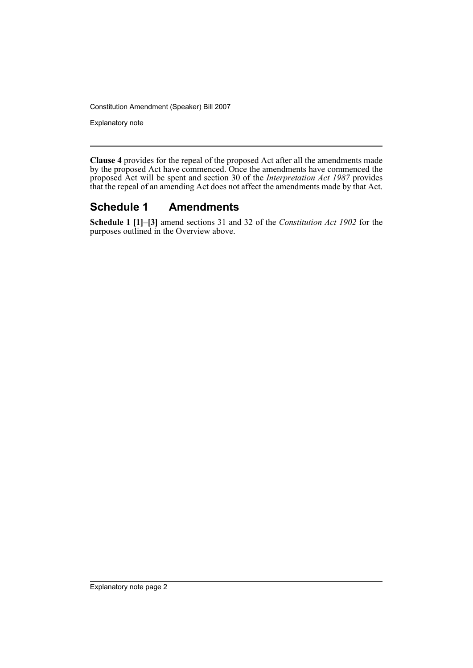Constitution Amendment (Speaker) Bill 2007

Explanatory note

**Clause 4** provides for the repeal of the proposed Act after all the amendments made by the proposed Act have commenced. Once the amendments have commenced the proposed Act will be spent and section 30 of the *Interpretation Act 1987* provides that the repeal of an amending Act does not affect the amendments made by that Act.

#### **Schedule 1 Amendments**

**Schedule 1 [1]–[3]** amend sections 31 and 32 of the *Constitution Act 1902* for the purposes outlined in the Overview above.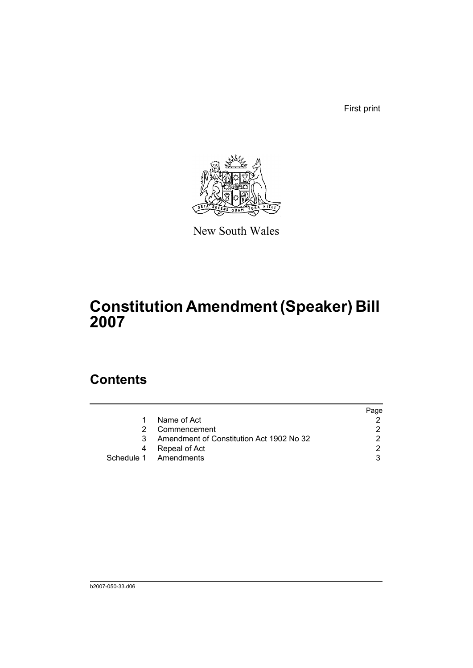First print



New South Wales

## **Constitution Amendment (Speaker) Bill 2007**

### **Contents**

|    |                                          | Page |
|----|------------------------------------------|------|
| 1. | Name of Act                              |      |
| 2  | Commencement                             |      |
| 3  | Amendment of Constitution Act 1902 No 32 |      |
| 4  | Repeal of Act                            | ◠    |
|    | Schedule 1 Amendments                    |      |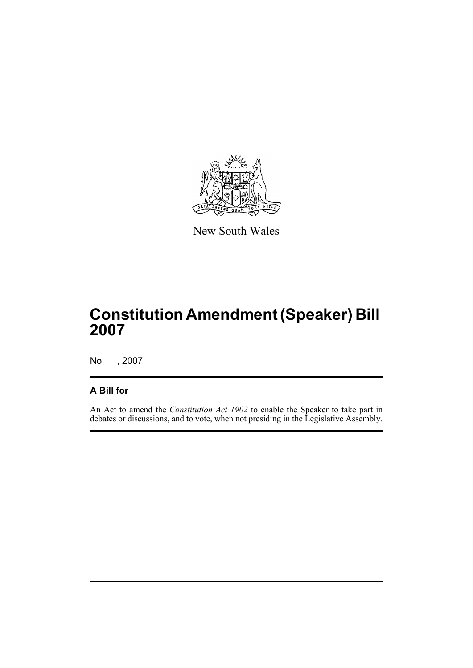

New South Wales

## **Constitution Amendment (Speaker) Bill 2007**

No , 2007

#### **A Bill for**

An Act to amend the *Constitution Act 1902* to enable the Speaker to take part in debates or discussions, and to vote, when not presiding in the Legislative Assembly.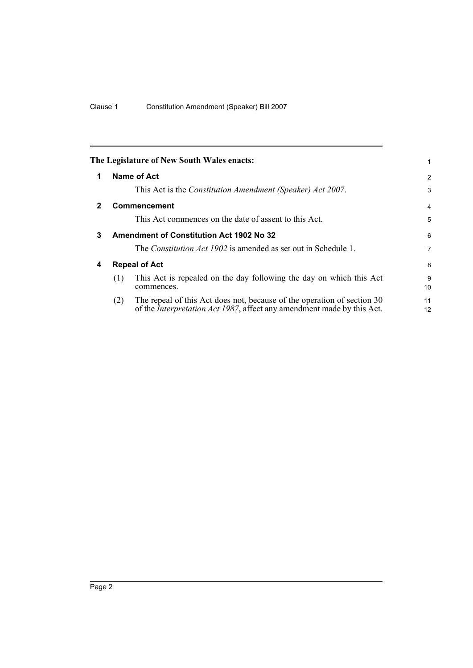<span id="page-5-3"></span><span id="page-5-2"></span><span id="page-5-1"></span><span id="page-5-0"></span>

|   |                                                 | The Legislature of New South Wales enacts:                                                                                                                | 1              |
|---|-------------------------------------------------|-----------------------------------------------------------------------------------------------------------------------------------------------------------|----------------|
| 1 |                                                 | Name of Act                                                                                                                                               | $\overline{2}$ |
|   |                                                 | This Act is the Constitution Amendment (Speaker) Act 2007.                                                                                                | 3              |
| 2 |                                                 | <b>Commencement</b>                                                                                                                                       | $\overline{4}$ |
|   |                                                 | This Act commences on the date of assent to this Act.                                                                                                     | 5              |
| 3 | <b>Amendment of Constitution Act 1902 No 32</b> |                                                                                                                                                           | 6              |
|   |                                                 | The <i>Constitution Act 1902</i> is amended as set out in Schedule 1.                                                                                     | 7              |
| 4 |                                                 | <b>Repeal of Act</b>                                                                                                                                      | 8              |
|   | (1)                                             | This Act is repealed on the day following the day on which this Act<br>commences.                                                                         | 9<br>10        |
|   | (2)                                             | The repeal of this Act does not, because of the operation of section 30<br>of the <i>Interpretation Act 1987</i> , affect any amendment made by this Act. | 11<br>12       |